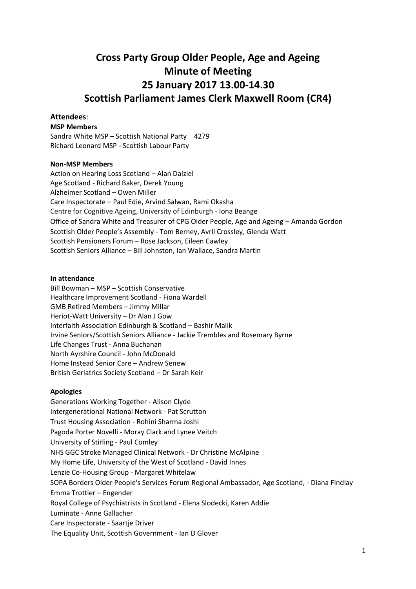# **Cross Party Group Older People, Age and Ageing Minute of Meeting 25 January 2017 13.00-14.30 Scottish Parliament James Clerk Maxwell Room (CR4)**

## **Attendees**:

#### **MSP Members**

Sandra White MSP – Scottish National Party 4279 Richard Leonard MSP - Scottish Labour Party

## **Non-MSP Members**

Action on Hearing Loss Scotland – Alan Dalziel Age Scotland - Richard Baker, Derek Young Alzheimer Scotland – Owen Miller Care Inspectorate – Paul Edie, Arvind Salwan, Rami Okasha Centre for Cognitive Ageing, University of Edinburgh - Iona Beange Office of Sandra White and Treasurer of CPG Older People, Age and Ageing – Amanda Gordon Scottish Older People's Assembly - Tom Berney, Avril Crossley, Glenda Watt Scottish Pensioners Forum – Rose Jackson, Eileen Cawley Scottish Seniors Alliance – Bill Johnston, Ian Wallace, Sandra Martin

#### **In attendance**

Bill Bowman – MSP – Scottish Conservative Healthcare Improvement Scotland - Fiona Wardell GMB Retired Members – Jimmy Millar Heriot-Watt University – Dr Alan J Gow Interfaith Association Edinburgh & Scotland – Bashir Malik Irvine Seniors/Scottish Seniors Alliance - Jackie Trembles and Rosemary Byrne Life Changes Trust - Anna Buchanan North Ayrshire Council - John McDonald Home Instead Senior Care – Andrew Senew British Geriatrics Society Scotland – Dr Sarah Keir

## **Apologies**

Generations Working Together - Alison Clyde Intergenerational National Network - Pat Scrutton Trust Housing Association - Rohini Sharma Joshi Pagoda Porter Novelli - Moray Clark and Lynee Veitch University of Stirling - Paul Comley NHS GGC Stroke Managed Clinical Network - Dr Christine McAlpine My Home Life, University of the West of Scotland - David Innes Lenzie Co-Housing Group - Margaret Whitelaw SOPA Borders Older People's Services Forum Regional Ambassador, Age Scotland, - Diana Findlay Emma Trottier – Engender Royal College of Psychiatrists in Scotland - Elena Slodecki, Karen Addie Luminate - Anne Gallacher Care Inspectorate - Saartje Driver The Equality Unit, Scottish Government - Ian D Glover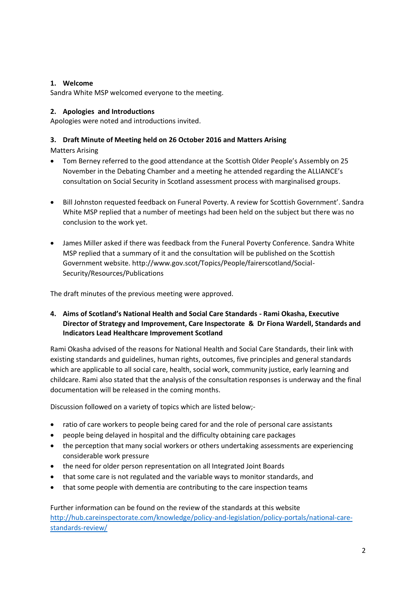# **1. Welcome**

Sandra White MSP welcomed everyone to the meeting.

# **2. Apologies and Introductions**

Apologies were noted and introductions invited.

# **3. Draft Minute of Meeting held on 26 October 2016 and Matters Arising**

Matters Arising

- Tom Berney referred to the good attendance at the Scottish Older People's Assembly on 25 November in the Debating Chamber and a meeting he attended regarding the ALLIANCE's consultation on Social Security in Scotland assessment process with marginalised groups.
- Bill Johnston requested feedback on Funeral Poverty. A review for Scottish Government'. Sandra White MSP replied that a number of meetings had been held on the subject but there was no conclusion to the work yet.
- James Miller asked if there was feedback from the Funeral Poverty Conference. Sandra White MSP replied that a summary of it and the consultation will be published on the Scottish Government website. http://www.gov.scot/Topics/People/fairerscotland/Social-Security/Resources/Publications

The draft minutes of the previous meeting were approved.

**4. Aims of Scotland's National Health and Social Care Standards - Rami Okasha, Executive Director of Strategy and Improvement, Care Inspectorate & Dr Fiona Wardell, Standards and Indicators Lead Healthcare Improvement Scotland**

Rami Okasha advised of the reasons for National Health and Social Care Standards, their link with existing standards and guidelines, human rights, outcomes, five principles and general standards which are applicable to all social care, health, social work, community justice, early learning and childcare. Rami also stated that the analysis of the consultation responses is underway and the final documentation will be released in the coming months.

Discussion followed on a variety of topics which are listed below;-

- ratio of care workers to people being cared for and the role of personal care assistants
- people being delayed in hospital and the difficulty obtaining care packages
- the perception that many social workers or others undertaking assessments are experiencing considerable work pressure
- the need for older person representation on all Integrated Joint Boards
- that some care is not regulated and the variable ways to monitor standards, and
- that some people with dementia are contributing to the care inspection teams

Further information can be found on the review of the standards at this website [http://hub.careinspectorate.com/knowledge/policy-and-legislation/policy-portals/national-care](http://hub.careinspectorate.com/knowledge/policy-and-legislation/policy-portals/national-care-standards-review/)[standards-review/](http://hub.careinspectorate.com/knowledge/policy-and-legislation/policy-portals/national-care-standards-review/)